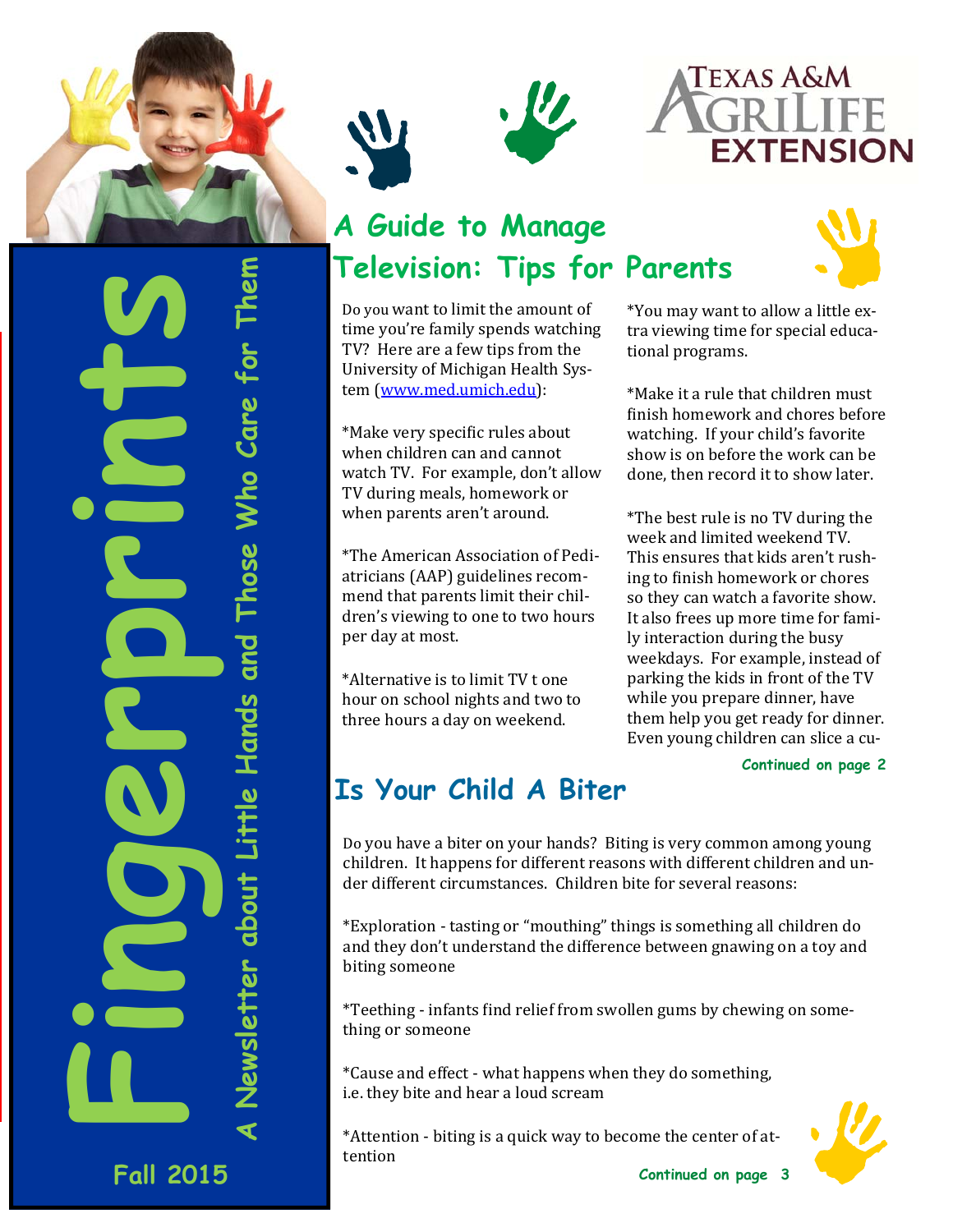

**A Newsletter about Little Hands and Those Who Care for Them** 

Hands and

—<br><u>पि</u><br>नि

er about

Those Who Care for

**Fall 2015** 



# **A Guide to Manage Television: Tips for Parents**



Do you want to limit the amount of time you're family spends watching TV? Here are a few tips from the University of Michigan Health System (www.med.umich.edu):

\*Make very specific rules about when children can and cannot watch TV. For example, don't allow TV during meals, homework or when parents aren't around.

\*The American Association of Pediatricians (AAP) guidelines recommend that parents limit their children's viewing to one to two hours per day at most.

\*Alternative is to limit TV t one hour on school nights and two to three hours a day on weekend.

\*You may want to allow a little extra viewing time for special educational programs.

\*Make it a rule that children must finish homework and chores before watching. If your child's favorite show is on before the work can be done, then record it to show later.

\*The best rule is no TV during the week and limited weekend TV. This ensures that kids aren't rushing to finish homework or chores so they can watch a favorite show. It also frees up more time for family interaction during the busy weekdays. For example, instead of parking the kids in front of the TV while you prepare dinner, have them help you get ready for dinner. Even young children can slice a cu-

#### **Continued on page 2**

## **Is Your Child A Biter**

Do you have a biter on your hands? Biting is very common among young children. It happens for different reasons with different children and under different circumstances. Children bite for several reasons:

\*Exploration - tasting or "mouthing" things is something all children do and they don't understand the difference between gnawing on a toy and biting someone

\*Teething - infants find relief from swollen gums by chewing on something or someone

\*Cause and effect - what happens when they do something, i.e. they bite and hear a loud scream

\*Attention - biting is a quick way to become the center of attention 

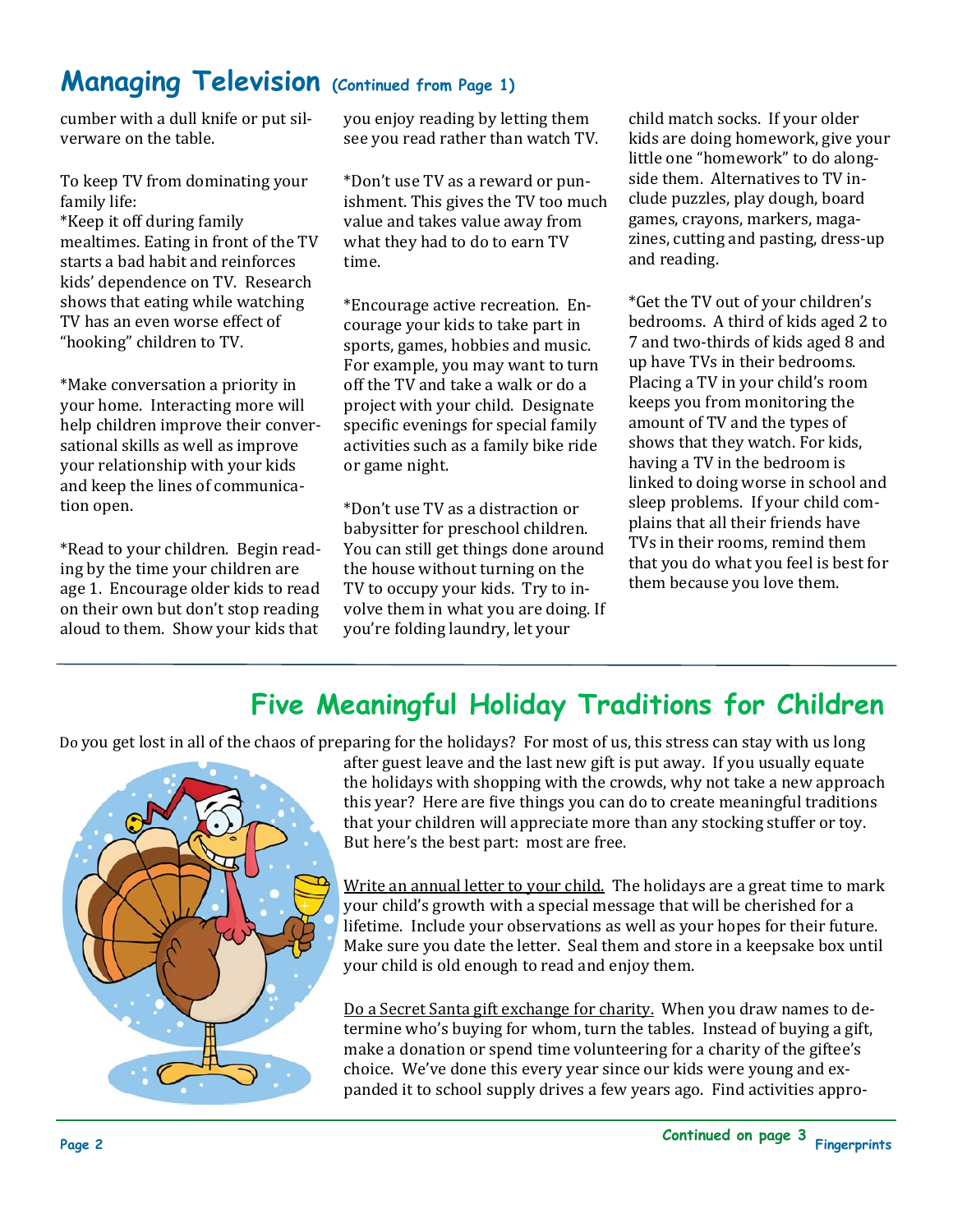### **Managing Television (Continued from Page 1)**

cumber with a dull knife or put silverware on the table.

To keep TV from dominating your family life: \*Keep it off during family mealtimes. Eating in front of the TV starts a bad habit and reinforces kids' dependence on TV. Research shows that eating while watching TV has an even worse effect of "hooking" children to TV.

\*Make conversation a priority in your home. Interacting more will help children improve their conversational skills as well as improve your relationship with your kids and keep the lines of communication open.

\*Read to your children. Begin reading by the time your children are age 1. Encourage older kids to read on their own but don't stop reading aloud to them. Show your kids that

you enjoy reading by letting them see you read rather than watch TV.

\*Don't use TV as a reward or punishment. This gives the TV too much value and takes value away from what they had to do to earn TV time. 

\*Encourage active recreation. Encourage your kids to take part in sports, games, hobbies and music. For example, you may want to turn off the TV and take a walk or do a project with your child. Designate specific evenings for special family activities such as a family bike ride or game night.

\*Don't use TV as a distraction or babysitter for preschool children. You can still get things done around the house without turning on the TV to occupy your kids. Try to involve them in what you are doing. If you're folding laundry, let your

child match socks. If your older kids are doing homework, give your little one "homework" to do alongside them. Alternatives to TV include puzzles, play dough, board games, crayons, markers, magazines, cutting and pasting, dress-up and reading.

\*Get the TV out of your children's bedrooms. A third of kids aged 2 to 7 and two-thirds of kids aged 8 and up have TVs in their bedrooms. Placing a TV in your child's room keeps you from monitoring the amount of TV and the types of shows that they watch. For kids, having a TV in the bedroom is linked to doing worse in school and sleep problems. If your child complains that all their friends have TVs in their rooms, remind them that you do what you feel is best for them because you love them.

## **Five Meaningful Holiday Traditions for Children**

Do you get lost in all of the chaos of preparing for the holidays? For most of us, this stress can stay with us long



after guest leave and the last new gift is put away. If you usually equate the holidays with shopping with the crowds, why not take a new approach this year? Here are five things you can do to create meaningful traditions that your children will appreciate more than any stocking stuffer or toy. But here's the best part: most are free.

Write an annual letter to your child. The holidays are a great time to mark your child's growth with a special message that will be cherished for a lifetime. Include your observations as well as your hopes for their future. Make sure you date the letter. Seal them and store in a keepsake box until your child is old enough to read and enjoy them.

Do a Secret Santa gift exchange for charity. When you draw names to determine who's buying for whom, turn the tables. Instead of buying a gift, make a donation or spend time volunteering for a charity of the giftee's choice. We've done this every year since our kids were young and expanded it to school supply drives a few years ago. Find activities appro-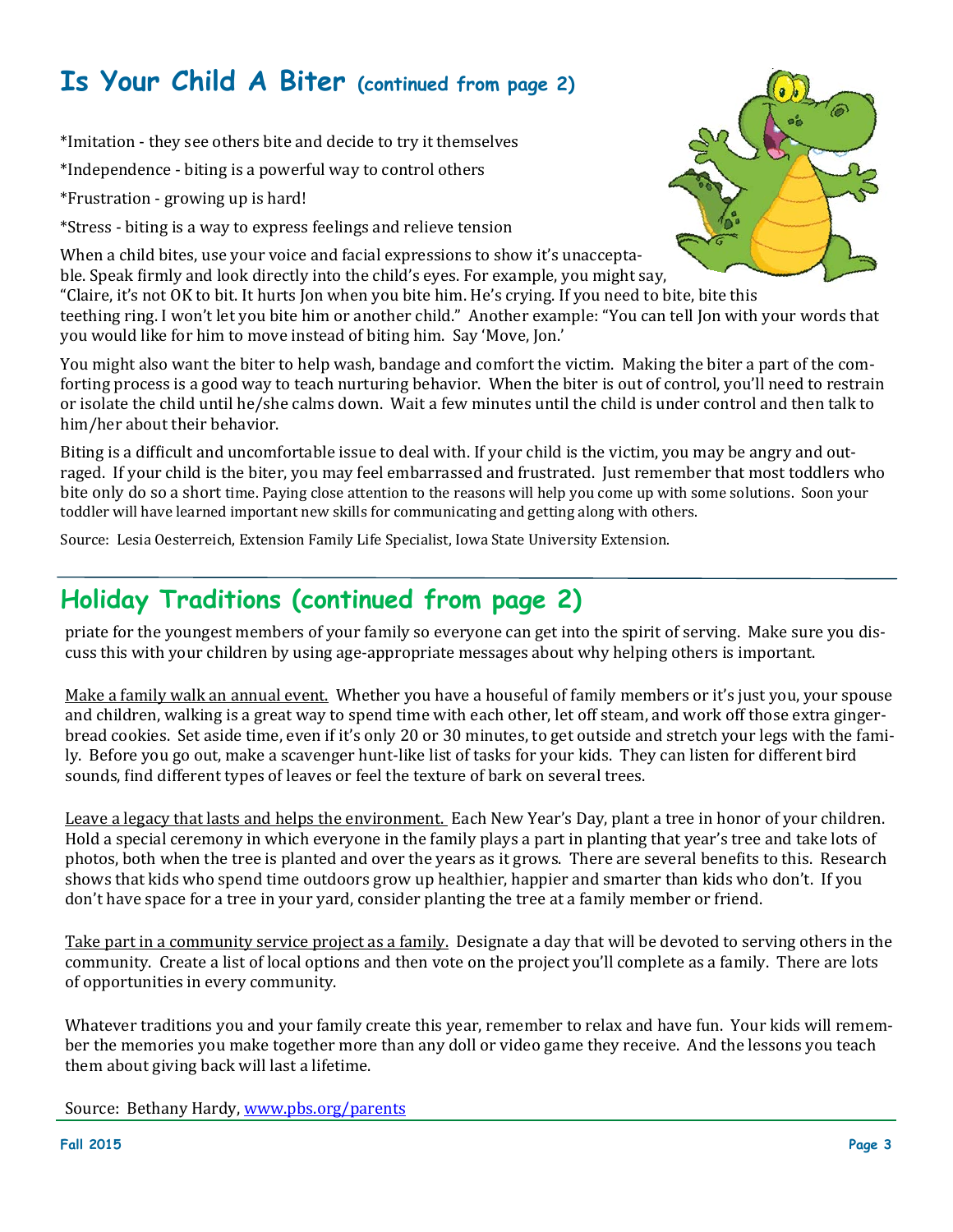## **Is Your Child A Biter (continued from page 2)**

\*Imitation - they see others bite and decide to try it themselves

\*Independence - biting is a powerful way to control others

\*Frustration - growing up is hard!

\*Stress - biting is a way to express feelings and relieve tension

When a child bites, use your voice and facial expressions to show it's unacceptable. Speak firmly and look directly into the child's eyes. For example, you might say, "Claire, it's not OK to bit. It hurts Jon when you bite him. He's crying. If you need to bite, bite this teething ring. I won't let you bite him or another child." Another example: "You can tell Jon with your words that you would like for him to move instead of biting him. Say 'Move, Jon.'

You might also want the biter to help wash, bandage and comfort the victim. Making the biter a part of the comforting process is a good way to teach nurturing behavior. When the biter is out of control, you'll need to restrain or isolate the child until he/she calms down. Wait a few minutes until the child is under control and then talk to him/her about their behavior.

Biting is a difficult and uncomfortable issue to deal with. If your child is the victim, you may be angry and outraged. If your child is the biter, you may feel embarrassed and frustrated. Just remember that most toddlers who bite only do so a short time. Paying close attention to the reasons will help you come up with some solutions. Soon your toddler will have learned important new skills for communicating and getting along with others.

Source: Lesia Oesterreich, Extension Family Life Specialist, Iowa State University Extension.

### **Holiday Traditions (continued from page 2)**

priate for the youngest members of your family so everyone can get into the spirit of serving. Make sure you discuss this with your children by using age-appropriate messages about why helping others is important.

Make a family walk an annual event. Whether you have a houseful of family members or it's just you, your spouse and children, walking is a great way to spend time with each other, let off steam, and work off those extra gingerbread cookies. Set aside time, even if it's only 20 or 30 minutes, to get outside and stretch your legs with the family. Before you go out, make a scavenger hunt-like list of tasks for your kids. They can listen for different bird sounds, find different types of leaves or feel the texture of bark on several trees.

Leave a legacy that lasts and helps the environment. Each New Year's Day, plant a tree in honor of your children. Hold a special ceremony in which everyone in the family plays a part in planting that year's tree and take lots of photos, both when the tree is planted and over the years as it grows. There are several benefits to this. Research shows that kids who spend time outdoors grow up healthier, happier and smarter than kids who don't. If you don't have space for a tree in your yard, consider planting the tree at a family member or friend.

Take part in a community service project as a family. Designate a day that will be devoted to serving others in the community. Create a list of local options and then vote on the project you'll complete as a family. There are lots of opportunities in every community.

Whatever traditions you and your family create this year, remember to relax and have fun. Your kids will remember the memories you make together more than any doll or video game they receive. And the lessons you teach them about giving back will last a lifetime.

Source: Bethany Hardy, www.pbs.org/parents